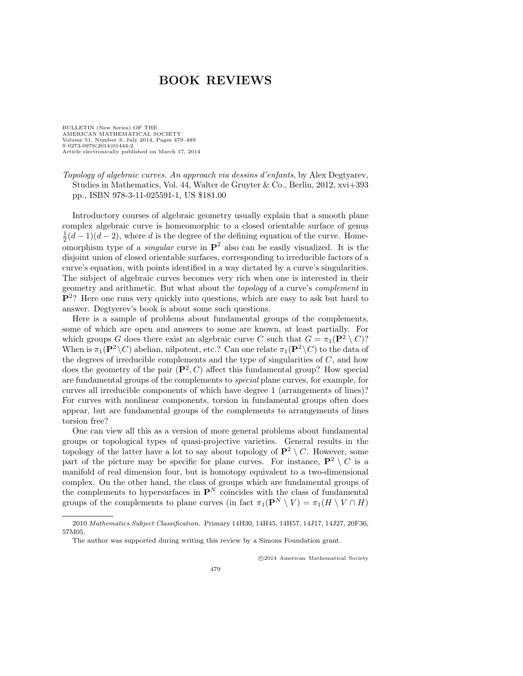BULLETIN (New Series) OF THE AMERICAN MATHEMATICAL SOCIETY Volume 51, Number 3, July 2014, Pages 479–489 S 0273-0979(2014)01444-2 Article electronically published on March 17, 2014

*Topology of algebraic curves. An approach via dessins d'enfants*, by Alex Degtyarev, Studies in Mathematics, Vol. 44, Walter de Gruyter & Co., Berlin, 2012, xvi+393 pp., ISBN 978-3-11-025591-1, US \$181.00

Introductory courses of algebraic geometry usually explain that a smooth plane complex algebraic curve is homeomorphic to a closed orientable surface of genus  $\frac{1}{2}(d-1)(d-2)$ , where *d* is the degree of the defining equation of the curve. Homeomorphism type of a *singular* curve in  $\mathbf{P}^2$  also can be easily visualized. It is the disjoint union of closed orientable surfaces, corresponding to irreducible factors of a curve's equation, with points identified in a way dictated by a curve's singularities. The subject of algebraic curves becomes very rich when one is interested in their geometry and arithmetic. But what about the *topology* of a curve's *complement* in P2? Here one runs very quickly into questions, which are easy to ask but hard to answer. Degtyerev's book is about some such questions.

Here is a sample of problems about fundamental groups of the complements, some of which are open and answers to some are known, at least partially. For which groups *G* does there exist an algebraic curve *C* such that  $G = \pi_1(\mathbf{P}^2 \setminus C)$ ? When is  $\pi_1(\mathbf{P}^2 \setminus C)$  abelian, nilpotent, etc.? Can one relate  $\pi_1(\mathbf{P}^2 \setminus C)$  to the data of the degrees of irreducible complements and the type of singularities of *C*, and how does the geometry of the pair  $(\mathbf{P}^2, C)$  affect this fundamental group? How special are fundamental groups of the complements to *special* plane curves, for example, for curves all irreducible components of which have degree 1 (arrangements of lines)? For curves with nonlinear components, torsion in fundamental groups often does appear, but are fundamental groups of the complements to arrangements of lines torsion free?

One can view all this as a version of more general problems about fundamental groups or topological types of quasi-projective varieties. General results in the topology of the latter have a lot to say about topology of  $\mathbf{P}^2 \setminus C$ . However, some part of the picture may be specific for plane curves. For instance,  $\mathbf{P}^2 \setminus C$  is a manifold of real dimension four, but is homotopy equivalent to a two-dimensional complex. On the other hand, the class of groups which are fundamental groups of the complements to hypersurfaces in  $\mathbf{P}^{N}$  coincides with the class of fundamental groups of the complements to plane curves (in fact  $\pi_1(\mathbf{P}^N \setminus V) = \pi_1(H \setminus V \cap H)$ 

⃝c 2014 American Mathematical Society

<sup>2010</sup> *Mathematics Subject Classification.* Primary 14H30, 14H45, 14H57, 14J17, 14J27, 20F36, 57M05.

The author was supported during writing this review by a Simons Foundation grant.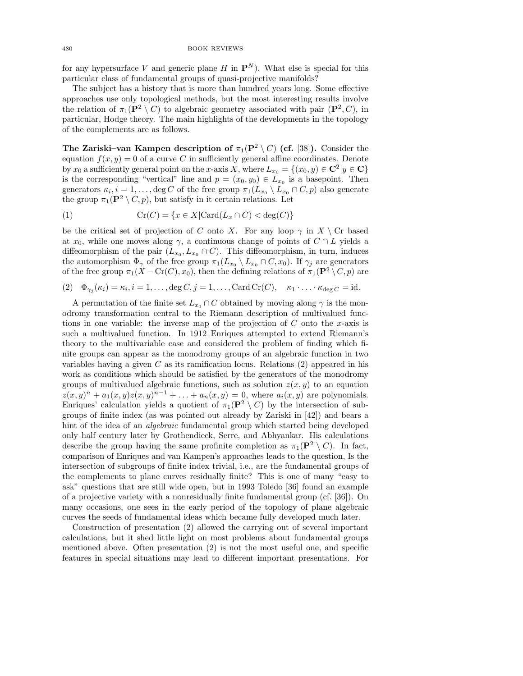for any hypersurface *V* and generic plane *H* in  $\mathbf{P}^{N}$ ). What else is special for this particular class of fundamental groups of quasi-projective manifolds?

The subject has a history that is more than hundred years long. Some effective approaches use only topological methods, but the most interesting results involve the relation of  $\pi_1(\mathbf{P}^2 \setminus C)$  to algebraic geometry associated with pair  $(\mathbf{P}^2, C)$ , in particular, Hodge theory. The main highlights of the developments in the topology of the complements are as follows.

The Zariski–van Kampen description of  $\pi_1(\mathbf{P}^2 \setminus C)$  (cf. [38]). Consider the equation  $f(x, y) = 0$  of a curve *C* in sufficiently general affine coordinates. Denote by  $x_0$  a sufficiently general point on the *x*-axis *X*, where  $L_{x_0} = \{(x_0, y) \in \mathbb{C}^2 | y \in \mathbb{C}\}\$ is the corresponding "vertical" line and  $p = (x_0, y_0) \in L_{x_0}$  is a basepoint. Then generators  $\kappa_i, i = 1, \ldots, \deg C$  of the free group  $\pi_1(L_{x_0} \setminus L_{x_0} \cap C, p)$  also generate the group  $\pi_1(\mathbf{P}^2 \setminus C, p)$ , but satisfy in it certain relations. Let

(1) 
$$
\operatorname{Cr}(C) = \{x \in X | \operatorname{Card}(L_x \cap C) < \deg(C) \}
$$

be the critical set of projection of *C* onto *X*. For any loop  $\gamma$  in  $X \setminus C$ r based at  $x_0$ , while one moves along  $\gamma$ , a continuous change of points of  $C \cap L$  yields a diffeomorphism of the pair  $(L_{x_0}, L_{x_0} \cap C)$ . This diffeomorphism, in turn, induces the automorphism  $\Phi_{\gamma}$  of the free group  $\pi_1(L_{x_0} \setminus L_{x_0} \cap C, x_0)$ . If  $\gamma_j$  are generators of the free group  $\pi_1(X - Cr(C), x_0)$ , then the defining relations of  $\pi_1(\mathbf{P}^2 \setminus C, p)$  are

(2) 
$$
\Phi_{\gamma_j}(\kappa_i) = \kappa_i, i = 1, ..., \deg C, j = 1, ..., \text{Card } Cr(C), \kappa_1 \cdot ... \cdot \kappa_{\deg C} = \text{id}.
$$

A permutation of the finite set  $L_{x_0} \cap C$  obtained by moving along  $\gamma$  is the monodromy transformation central to the Riemann description of multivalued functions in one variable: the inverse map of the projection of *C* onto the *x*-axis is such a multivalued function. In 1912 Enriques attempted to extend Riemann's theory to the multivariable case and considered the problem of finding which finite groups can appear as the monodromy groups of an algebraic function in two variables having a given *C* as its ramification locus. Relations (2) appeared in his work as conditions which should be satisfied by the generators of the monodromy groups of multivalued algebraic functions, such as solution  $z(x, y)$  to an equation  $z(x, y)^n + a_1(x, y)z(x, y)^{n-1} + \ldots + a_n(x, y) = 0$ , where  $a_i(x, y)$  are polynomials. Enriques' calculation yields a quotient of  $\pi_1(\mathbf{P}^2 \setminus C)$  by the intersection of subgroups of finite index (as was pointed out already by Zariski in [42]) and bears a hint of the idea of an *algebraic* fundamental group which started being developed only half century later by Grothendieck, Serre, and Abhyankar. His calculations describe the group having the same profinite completion as  $\pi_1(\mathbf{P}^2 \setminus C)$ . In fact, comparison of Enriques and van Kampen's approaches leads to the question, Is the intersection of subgroups of finite index trivial, i.e., are the fundamental groups of the complements to plane curves residually finite? This is one of many "easy to ask" questions that are still wide open, but in 1993 Toledo [36] found an example of a projective variety with a nonresidually finite fundamental group (cf. [36]). On many occasions, one sees in the early period of the topology of plane algebraic curves the seeds of fundamental ideas which became fully developed much later.

Construction of presentation (2) allowed the carrying out of several important calculations, but it shed little light on most problems about fundamental groups mentioned above. Often presentation (2) is not the most useful one, and specific features in special situations may lead to different important presentations. For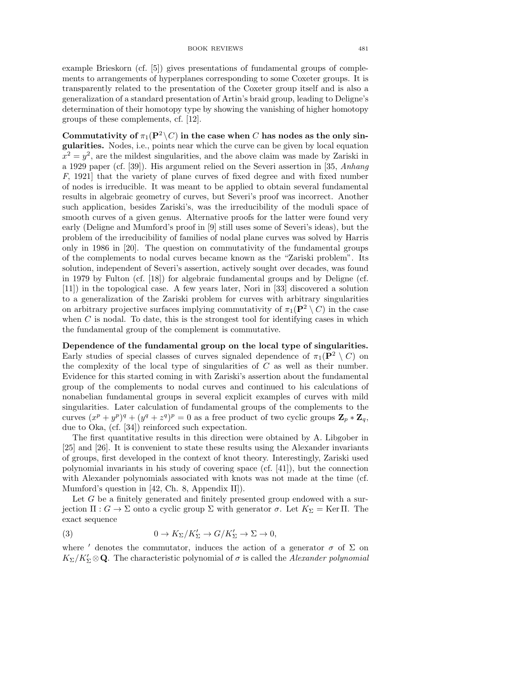example Brieskorn (cf. [5]) gives presentations of fundamental groups of complements to arrangements of hyperplanes corresponding to some Coxeter groups. It is transparently related to the presentation of the Coxeter group itself and is also a generalization of a standard presentation of Artin's braid group, leading to Deligne's determination of their homotopy type by showing the vanishing of higher homotopy groups of these complements, cf. [12].

Commutativity of  $\pi_1(\mathbf{P}^2 \setminus C)$  in the case when *C* has nodes as the only singularities. Nodes, i.e., points near which the curve can be given by local equation  $x^2 = y^2$ , are the mildest singularities, and the above claim was made by Zariski in a 1929 paper (cf. [39]). His argument relied on the Severi assertion in [35, *Anhang F*, 1921] that the variety of plane curves of fixed degree and with fixed number of nodes is irreducible. It was meant to be applied to obtain several fundamental results in algebraic geometry of curves, but Severi's proof was incorrect. Another such application, besides Zariski's, was the irreducibility of the moduli space of smooth curves of a given genus. Alternative proofs for the latter were found very early (Deligne and Mumford's proof in [9] still uses some of Severi's ideas), but the problem of the irreducibility of families of nodal plane curves was solved by Harris only in 1986 in [20]. The question on commutativity of the fundamental groups of the complements to nodal curves became known as the "Zariski problem". Its solution, independent of Severi's assertion, actively sought over decades, was found in 1979 by Fulton (cf. [18]) for algebraic fundamental groups and by Deligne (cf. [11]) in the topological case. A few years later, Nori in [33] discovered a solution to a generalization of the Zariski problem for curves with arbitrary singularities on arbitrary projective surfaces implying commutativity of  $\pi_1(\mathbf{P}^2 \setminus C)$  in the case when  $C$  is nodal. To date, this is the strongest tool for identifying cases in which the fundamental group of the complement is commutative.

Dependence of the fundamental group on the local type of singularities. Early studies of special classes of curves signaled dependence of  $\pi_1(\mathbf{P}^2 \setminus C)$  on the complexity of the local type of singularities of *C* as well as their number. Evidence for this started coming in with Zariski's assertion about the fundamental group of the complements to nodal curves and continued to his calculations of nonabelian fundamental groups in several explicit examples of curves with mild singularities. Later calculation of fundamental groups of the complements to the curves  $(x^p + y^p)^q + (y^q + z^q)^p = 0$  as a free product of two cyclic groups  $\mathbf{Z}_p * \mathbf{Z}_q$ , due to Oka, (cf. [34]) reinforced such expectation.

The first quantitative results in this direction were obtained by A. Libgober in [25] and [26]. It is convenient to state these results using the Alexander invariants of groups, first developed in the context of knot theory. Interestingly, Zariski used polynomial invariants in his study of covering space (cf. [41]), but the connection with Alexander polynomials associated with knots was not made at the time (cf. Mumford's question in [42, Ch. 8, Appendix II]).

Let *G* be a finitely generated and finitely presented group endowed with a surjection Π : *G* → Σ onto a cyclic group Σ with generator *σ*. Let  $K_{\Sigma}$  = Ker Π. The exact sequence

(3) 
$$
0 \to K_{\Sigma}/K'_{\Sigma} \to G/K'_{\Sigma} \to \Sigma \to 0,
$$

where  $'$  denotes the commutator, induces the action of a generator  $\sigma$  of  $\Sigma$  on  $K_{\Sigma}/K'_{\Sigma}\otimes{\bf Q}$ . The characteristic polynomial of  $\sigma$  is called the *Alexander polynomial*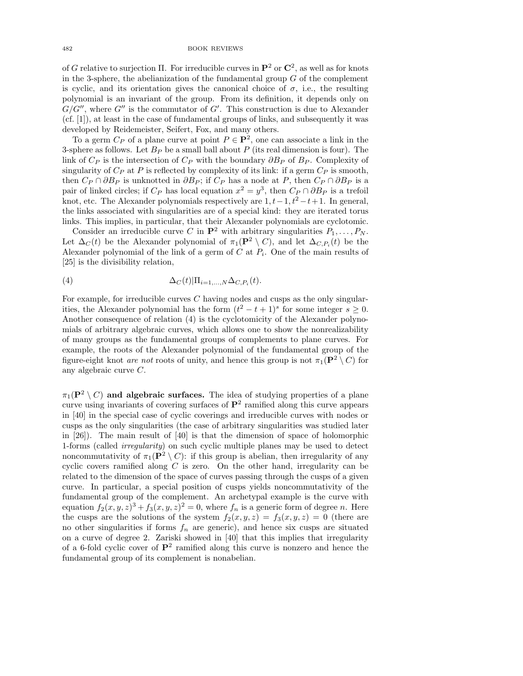of *G* relative to surjection Π. For irreducible curves in  $\mathbf{P}^2$  or  $\mathbf{C}^2$ , as well as for knots in the 3-sphere, the abelianization of the fundamental group *G* of the complement is cyclic, and its orientation gives the canonical choice of  $\sigma$ , i.e., the resulting polynomial is an invariant of the group. From its definition, it depends only on *G/G*′′, where *G*′′ is the commutator of *G*′ . This construction is due to Alexander (cf. [1]), at least in the case of fundamental groups of links, and subsequently it was developed by Reidemeister, Seifert, Fox, and many others.

To a germ  $C_P$  of a plane curve at point  $P \in \mathbf{P}^2$ , one can associate a link in the 3-sphere as follows. Let  $B_P$  be a small ball about  $P$  (its real dimension is four). The link of *C<sup>P</sup>* is the intersection of *C<sup>P</sup>* with the boundary ∂*B<sup>P</sup>* of *B<sup>P</sup>* . Complexity of singularity of  $C_P$  at P is reflected by complexity of its link: if a germ  $C_P$  is smooth, then  $C_P \cap \partial B_P$  is unknotted in  $\partial B_P$ ; if  $C_P$  has a node at  $P$ , then  $C_P \cap \partial B_P$  is a pair of linked circles; if  $C_P$  has local equation  $x^2 = y^3$ , then  $C_P \cap \partial B_P$  is a trefoil knot, etc. The Alexander polynomials respectively are  $1, t-1, t^2-t+1$ . In general, the links associated with singularities are of a special kind: they are iterated torus links. This implies, in particular, that their Alexander polynomials are cyclotomic.

Consider an irreducible curve *C* in  $\mathbf{P}^2$  with arbitrary singularities  $P_1, \ldots, P_N$ . Let  $\Delta_C(t)$  be the Alexander polynomial of  $\pi_1(\mathbf{P}^2 \setminus C)$ , and let  $\Delta_{C,P_i}(t)$  be the Alexander polynomial of the link of a germ of  $C$  at  $P_i$ . One of the main results of [25] is the divisibility relation,

(4) 
$$
\Delta_C(t)|\Pi_{i=1,\ldots,N}\Delta_{C,P_i}(t).
$$

For example, for irreducible curves *C* having nodes and cusps as the only singularities, the Alexander polynomial has the form  $(t^2 - t + 1)^s$  for some integer  $s \ge 0$ . Another consequence of relation (4) is the cyclotomicity of the Alexander polynomials of arbitrary algebraic curves, which allows one to show the nonrealizability of many groups as the fundamental groups of complements to plane curves. For example, the roots of the Alexander polynomial of the fundamental group of the figure-eight knot *are not* roots of unity, and hence this group is not  $\pi_1(\mathbf{P}^2 \setminus C)$  for any algebraic curve *C*.

 $\pi_1(\mathbf{P}^2 \setminus C)$  and algebraic surfaces. The idea of studying properties of a plane curve using invariants of covering surfaces of  $\mathbf{P}^2$  ramified along this curve appears in [40] in the special case of cyclic coverings and irreducible curves with nodes or cusps as the only singularities (the case of arbitrary singularities was studied later in [26]). The main result of [40] is that the dimension of space of holomorphic 1-forms (called *irregularity*) on such cyclic multiple planes may be used to detect noncommutativity of  $\pi_1(\mathbf{P}^2 \setminus C)$ : if this group is abelian, then irregularity of any cyclic covers ramified along *C* is zero. On the other hand, irregularity can be related to the dimension of the space of curves passing through the cusps of a given curve. In particular, a special position of cusps yields noncommutativity of the fundamental group of the complement. An archetypal example is the curve with equation  $f_2(x, y, z)^3 + f_3(x, y, z)^2 = 0$ , where  $f_n$  is a generic form of degree *n*. Here the cusps are the solutions of the system  $f_2(x, y, z) = f_3(x, y, z) = 0$  (there are no other singularities if forms  $f_n$  are generic), and hence six cusps are situated on a curve of degree 2. Zariski showed in [40] that this implies that irregularity of a 6-fold cyclic cover of  $\mathbf{P}^2$  ramified along this curve is nonzero and hence the fundamental group of its complement is nonabelian.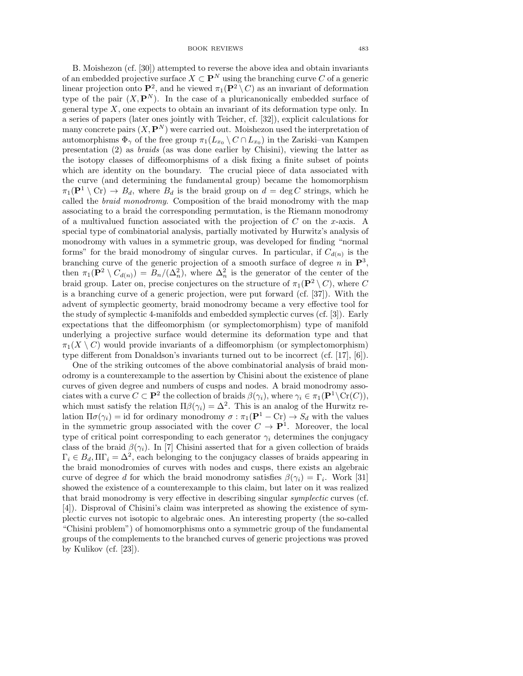B. Moishezon (cf. [30]) attempted to reverse the above idea and obtain invariants of an embedded projective surface  $X \subset \mathbf{P}^N$  using the branching curve C of a generic linear projection onto  $\mathbf{P}^2$ , and he viewed  $\pi_1(\mathbf{P}^2 \setminus C)$  as an invariant of deformation type of the pair  $(X, \mathbf{P}^{N})$ . In the case of a pluricanonically embedded surface of general type *X*, one expects to obtain an invariant of its deformation type only. In a series of papers (later ones jointly with Teicher, cf. [32]), explicit calculations for many concrete pairs  $(X, \mathbf{P}^N)$  were carried out. Moishezon used the interpretation of automorphisms  $\Phi_{\gamma}$  of the free group  $\pi_1(L_{x_0} \setminus C \cap L_{x_0})$  in the Zariski–van Kampen presentation (2) as *braids* (as was done earlier by Chisini), viewing the latter as the isotopy classes of diffeomorphisms of a disk fixing a finite subset of points which are identity on the boundary. The crucial piece of data associated with the curve (and determining the fundamental group) became the homomorphism  $\pi_1(\mathbf{P}^1 \setminus \mathrm{Cr}) \to B_d$ , where  $B_d$  is the braid group on  $d = \deg C$  strings, which he called the *braid monodromy*. Composition of the braid monodromy with the map associating to a braid the corresponding permutation, is the Riemann monodromy of a multivalued function associated with the projection of *C* on the *x*-axis. A special type of combinatorial analysis, partially motivated by Hurwitz's analysis of monodromy with values in a symmetric group, was developed for finding "normal forms" for the braid monodromy of singular curves. In particular, if  $C_{d(n)}$  is the branching curve of the generic projection of a smooth surface of degree  $n$  in  $\mathbb{P}^3$ , then  $\pi_1(\mathbf{P}^2 \setminus C_{d(n)}) = B_n/(\Delta_n^2)$ , where  $\Delta_n^2$  is the generator of the center of the braid group. Later on, precise conjectures on the structure of  $\pi_1(\mathbf{P}^2 \setminus C)$ , where *C* is a branching curve of a generic projection, were put forward (cf. [37]). With the advent of symplectic geomerty, braid monodromy became a very effective tool for the study of symplectic 4-manifolds and embedded symplectic curves (cf. [3]). Early expectations that the diffeomorphism (or symplectomorphism) type of manifold underlying a projective surface would determine its deformation type and that  $\pi_1(X \setminus C)$  would provide invariants of a diffeomorphism (or symplectomorphism) type different from Donaldson's invariants turned out to be incorrect (cf. [17], [6]).

One of the striking outcomes of the above combinatorial analysis of braid monodromy is a counterexample to the assertion by Chisini about the existence of plane curves of given degree and numbers of cusps and nodes. A braid monodromy associates with a curve  $C \subset \mathbf{P}^2$  the collection of braids  $\beta(\gamma_i)$ , where  $\gamma_i \in \pi_1(\mathbf{P}^1 \setminus \text{Cr}(C))$ , which must satisfy the relation  $\Pi \beta(\gamma_i) = \Delta^2$ . This is an analog of the Hurwitz relation  $\Pi\sigma(\gamma_i) = id$  for ordinary monodromy  $\sigma : \pi_1(\mathbf{P}^1 - \mathbf{C}\mathbf{r}) \to S_d$  with the values in the symmetric group associated with the cover  $C \to \mathbf{P}^1$ . Moreover, the local type of critical point corresponding to each generator  $\gamma_i$  determines the conjugacy class of the braid  $\beta(\gamma_i)$ . In [7] Chisini asserted that for a given collection of braids  $\Gamma_i \in B_d$ ,  $\Pi\Gamma_i = \Delta^2$ , each belonging to the conjugacy classes of braids appearing in the braid monodromies of curves with nodes and cusps, there exists an algebraic curve of degree *d* for which the braid monodromy satisfies  $\beta(\gamma_i) = \Gamma_i$ . Work [31] showed the existence of a counterexample to this claim, but later on it was realized that braid monodromy is very effective in describing singular *symplectic* curves (cf. [4]). Disproval of Chisini's claim was interpreted as showing the existence of symplectic curves not isotopic to algebraic ones. An interesting property (the so-called "Chisini problem") of homomorphisms onto a symmetric group of the fundamental groups of the complements to the branched curves of generic projections was proved by Kulikov (cf. [23]).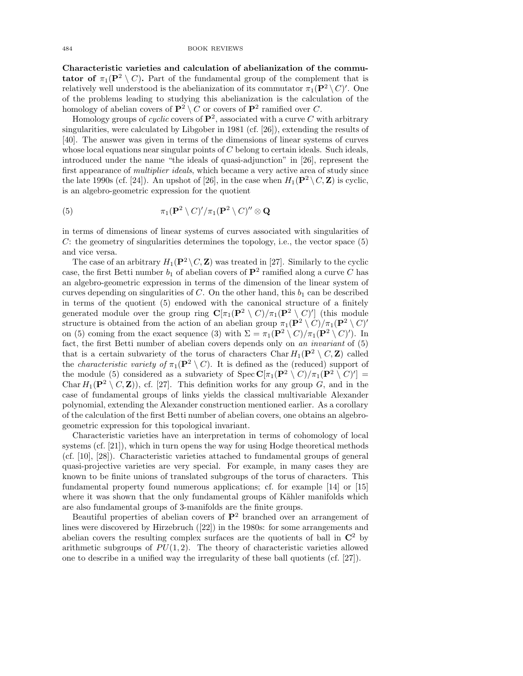Characteristic varieties and calculation of abelianization of the commu**tator of**  $\pi_1(\mathbf{P}^2 \setminus C)$ . Part of the fundamental group of the complement that is relatively well understood is the abelianization of its commutator  $\pi_1(\mathbf{P}^2 \setminus C)'$ . One of the problems leading to studying this abelianization is the calculation of the homology of abelian covers of  $\mathbf{P}^2 \setminus C$  or covers of  $\mathbf{P}^2$  ramified over *C*.

Homology groups of *cyclic* covers of  $\mathbf{P}^2$ , associated with a curve C with arbitrary singularities, were calculated by Libgober in 1981 (cf. [26]), extending the results of [40]. The answer was given in terms of the dimensions of linear systems of curves whose local equations near singular points of *C* belong to certain ideals. Such ideals, introduced under the name "the ideals of quasi-adjunction" in [26], represent the first appearance of *multiplier ideals*, which became a very active area of study since the late 1990s (cf. [24]). An upshot of [26], in the case when  $H_1(\mathbf{P}^2 \setminus C, \mathbf{Z})$  is cyclic, is an algebro-geometric expression for the quotient

(5) 
$$
\pi_1(\mathbf{P}^2 \setminus C)'/\pi_1(\mathbf{P}^2 \setminus C)'' \otimes \mathbf{Q}
$$

in terms of dimensions of linear systems of curves associated with singularities of *C*: the geometry of singularities determines the topology, i.e., the vector space (5) and vice versa.

The case of an arbitrary  $H_1(\mathbf{P}^2 \setminus C, \mathbf{Z})$  was treated in [27]. Similarly to the cyclic case, the first Betti number  $b_1$  of abelian covers of  $\mathbf{P}^2$  ramified along a curve C has an algebro-geometric expression in terms of the dimension of the linear system of curves depending on singularities of  $C$ . On the other hand, this  $b_1$  can be described in terms of the quotient (5) endowed with the canonical structure of a finitely generated module over the group ring  $\mathbf{C}[\pi_1(\mathbf{P}^2 \setminus C)/\pi_1(\mathbf{P}^2 \setminus C)']$  (this module structure is obtained from the action of an abelian group  $\pi_1(\mathbf{P}^2 \setminus C)/\pi_1(\mathbf{P}^2 \setminus C)'$ on (5) coming from the exact sequence (3) with  $\Sigma = \pi_1(\mathbf{P}^2 \setminus C)/\pi_1(\mathbf{P}^2 \setminus C)'$ ). In fact, the first Betti number of abelian covers depends only on *an invariant* of (5) that is a certain subvariety of the torus of characters Char  $H_1(\mathbf{P}^2 \setminus C, \mathbf{Z})$  called the *characteristic variety of*  $\pi_1(\mathbf{P}^2 \setminus C)$ . It is defined as the (reduced) support of the module (5) considered as a subvariety of  $Spec \mathbf{C}[\pi_1(\mathbf{P}^2 \setminus C)/\pi_1(\mathbf{P}^2 \setminus C)'] =$ Char  $H_1(\mathbf{P}^2 \setminus C, \mathbf{Z})$ , cf. [27]. This definition works for any group *G*, and in the case of fundamental groups of links yields the classical multivariable Alexander polynomial, extending the Alexander construction mentioned earlier. As a corollary of the calculation of the first Betti number of abelian covers, one obtains an algebrogeometric expression for this topological invariant.

Characteristic varieties have an interpretation in terms of cohomology of local systems (cf. [21]), which in turn opens the way for using Hodge theoretical methods (cf. [10], [28]). Characteristic varieties attached to fundamental groups of general quasi-projective varieties are very special. For example, in many cases they are known to be finite unions of translated subgroups of the torus of characters. This fundamental property found numerous applications; cf. for example [14] or [15] where it was shown that the only fundamental groups of Kähler manifolds which are also fundamental groups of 3-manifolds are the finite groups.

Beautiful properties of abelian covers of  $\mathbb{P}^2$  branched over an arrangement of lines were discovered by Hirzebruch ([22]) in the 1980s: for some arrangements and abelian covers the resulting complex surfaces are the quotients of ball in  $\mathbb{C}^2$  by arithmetic subgroups of  $PU(1, 2)$ . The theory of characteristic varieties allowed one to describe in a unified way the irregularity of these ball quotients (cf. [27]).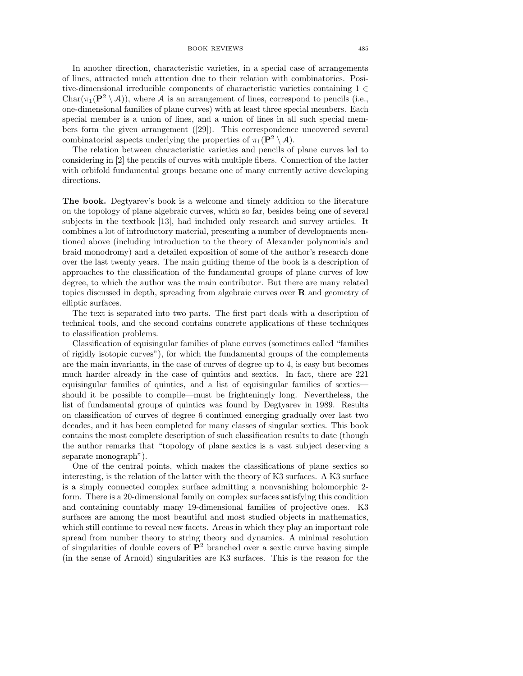In another direction, characteristic varieties, in a special case of arrangements of lines, attracted much attention due to their relation with combinatorics. Positive-dimensional irreducible components of characteristic varieties containing 1 ∈  $Char(\pi_1({\bf P}^2 \setminus A))$ , where A is an arrangement of lines, correspond to pencils (i.e., one-dimensional families of plane curves) with at least three special members. Each special member is a union of lines, and a union of lines in all such special members form the given arrangement ([29]). This correspondence uncovered several combinatorial aspects underlying the properties of  $\pi_1(\mathbf{P}^2 \setminus \mathcal{A})$ .

The relation between characteristic varieties and pencils of plane curves led to considering in [2] the pencils of curves with multiple fibers. Connection of the latter with orbifold fundamental groups became one of many currently active developing directions.

The book. Degtyarev's book is a welcome and timely addition to the literature on the topology of plane algebraic curves, which so far, besides being one of several subjects in the textbook [13], had included only research and survey articles. It combines a lot of introductory material, presenting a number of developments mentioned above (including introduction to the theory of Alexander polynomials and braid monodromy) and a detailed exposition of some of the author's research done over the last twenty years. The main guiding theme of the book is a description of approaches to the classification of the fundamental groups of plane curves of low degree, to which the author was the main contributor. But there are many related topics discussed in depth, spreading from algebraic curves over R and geometry of elliptic surfaces.

The text is separated into two parts. The first part deals with a description of technical tools, and the second contains concrete applications of these techniques to classification problems.

Classification of equisingular families of plane curves (sometimes called "families of rigidly isotopic curves"), for which the fundamental groups of the complements are the main invariants, in the case of curves of degree up to 4, is easy but becomes much harder already in the case of quintics and sextics. In fact, there are 221 equisingular families of quintics, and a list of equisingular families of sextics should it be possible to compile—must be frighteningly long. Nevertheless, the list of fundamental groups of quintics was found by Degtyarev in 1989. Results on classification of curves of degree 6 continued emerging gradually over last two decades, and it has been completed for many classes of singular sextics. This book contains the most complete description of such classification results to date (though the author remarks that "topology of plane sextics is a vast subject deserving a separate monograph").

One of the central points, which makes the classifications of plane sextics so interesting, is the relation of the latter with the theory of K3 surfaces. A K3 surface is a simply connected complex surface admitting a nonvanishing holomorphic 2 form. There is a 20-dimensional family on complex surfaces satisfying this condition and containing countably many 19-dimensional families of projective ones. K3 surfaces are among the most beautiful and most studied objects in mathematics, which still continue to reveal new facets. Areas in which they play an important role spread from number theory to string theory and dynamics. A minimal resolution of singularities of double covers of  $\mathbb{P}^2$  branched over a sextic curve having simple (in the sense of Arnold) singularities are K3 surfaces. This is the reason for the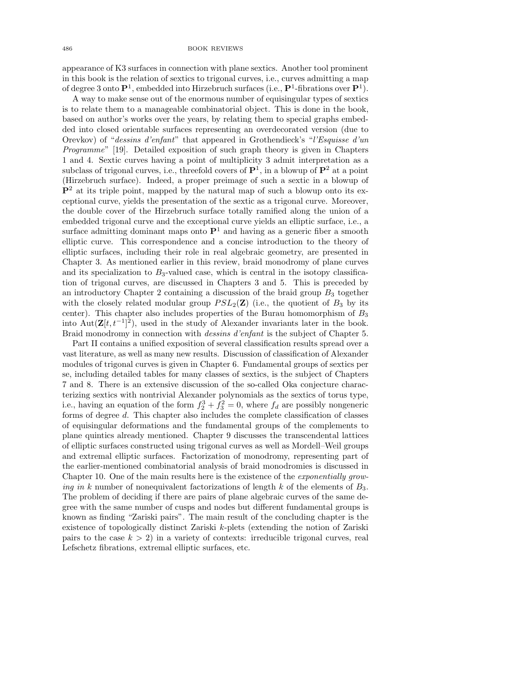appearance of K3 surfaces in connection with plane sextics. Another tool prominent in this book is the relation of sextics to trigonal curves, i.e., curves admitting a map of degree 3 onto  $\mathbf{P}^1$ , embedded into Hirzebruch surfaces (i.e.,  $\mathbf{P}^1$ -fibrations over  $\mathbf{P}^1$ ).

A way to make sense out of the enormous number of equisingular types of sextics is to relate them to a manageable combinatorial object. This is done in the book, based on author's works over the years, by relating them to special graphs embedded into closed orientable surfaces representing an overdecorated version (due to Orevkov) of "*dessins d'enfant*" that appeared in Grothendieck's "*l'Esquisse d'un Programme*" [19]. Detailed exposition of such graph theory is given in Chapters 1 and 4. Sextic curves having a point of multiplicity 3 admit interpretation as a subclass of trigonal curves, i.e., threefold covers of  $\mathbf{P}^1$ , in a blowup of  $\mathbf{P}^2$  at a point (Hirzebruch surface). Indeed, a proper preimage of such a sextic in a blowup of  $\mathbf{P}^2$  at its triple point, mapped by the natural map of such a blowup onto its exceptional curve, yields the presentation of the sextic as a trigonal curve. Moreover, the double cover of the Hirzebruch surface totally ramified along the union of a embedded trigonal curve and the exceptional curve yields an elliptic surface, i.e., a surface admitting dominant maps onto  $\mathbf{P}^1$  and having as a generic fiber a smooth elliptic curve. This correspondence and a concise introduction to the theory of elliptic surfaces, including their role in real algebraic geometry, are presented in Chapter 3. As mentioned earlier in this review, braid monodromy of plane curves and its specialization to  $B_3$ -valued case, which is central in the isotopy classification of trigonal curves, are discussed in Chapters 3 and 5. This is preceded by an introductory Chapter 2 containing a discussion of the braid group *B*<sup>3</sup> together with the closely related modular group  $PSL_2(\mathbf{Z})$  (i.e., the quotient of  $B_3$  by its center). This chapter also includes properties of the Burau homomorphism of *B*<sup>3</sup> into  $Aut(\mathbf{Z}[t, t^{-1}]^2)$ , used in the study of Alexander invariants later in the book. Braid monodromy in connection with *dessins d'enfant* is the subject of Chapter 5.

Part II contains a unified exposition of several classification results spread over a vast literature, as well as many new results. Discussion of classification of Alexander modules of trigonal curves is given in Chapter 6. Fundamental groups of sextics per se, including detailed tables for many classes of sextics, is the subject of Chapters 7 and 8. There is an extensive discussion of the so-called Oka conjecture characterizing sextics with nontrivial Alexander polynomials as the sextics of torus type, i.e., having an equation of the form  $f_2^3 + f_3^2 = 0$ , where  $f_d$  are possibly nongeneric forms of degree *d*. This chapter also includes the complete classification of classes of equisingular deformations and the fundamental groups of the complements to plane quintics already mentioned. Chapter 9 discusses the transcendental lattices of elliptic surfaces constructed using trigonal curves as well as Mordell–Weil groups and extremal elliptic surfaces. Factorization of monodromy, representing part of the earlier-mentioned combinatorial analysis of braid monodromies is discussed in Chapter 10. One of the main results here is the existence of the *exponentially growing in k* number of nonequivalent factorizations of length *k* of the elements of  $B_3$ . The problem of deciding if there are pairs of plane algebraic curves of the same degree with the same number of cusps and nodes but different fundamental groups is known as finding "Zariski pairs". The main result of the concluding chapter is the existence of topologically distinct Zariski *k*-plets (extending the notion of Zariski pairs to the case  $k > 2$ ) in a variety of contexts: irreducible trigonal curves, real Lefschetz fibrations, extremal elliptic surfaces, etc.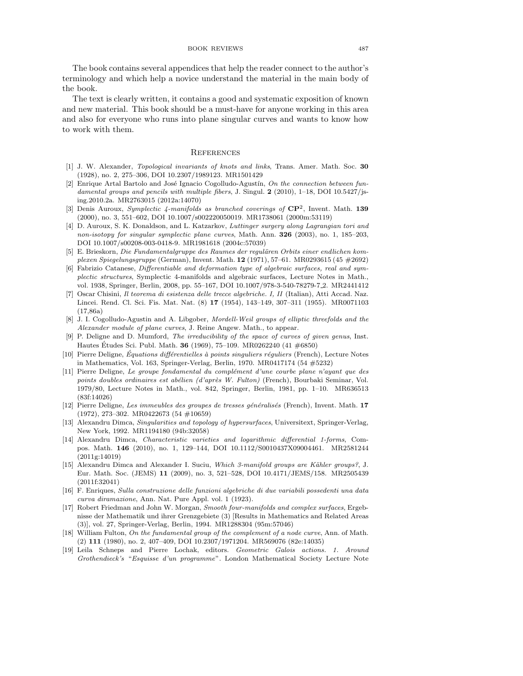The book contains several appendices that help the reader connect to the author's terminology and which help a novice understand the material in the main body of the book.

The text is clearly written, it contains a good and systematic exposition of known and new material. This book should be a must-have for anyone working in this area and also for everyone who runs into plane singular curves and wants to know how to work with them.

### **REFERENCES**

- [1] J. W. Alexander, *Topological invariants of knots and links*, Trans. Amer. Math. Soc. 30 (1928), no. 2, 275–306, DOI 10.2307/1989123. MR1501429
- [2] Enrique Artal Bartolo and José Ignacio Cogolludo-Agustín, On the connection between fun*damental groups and pencils with multiple fibers*, J. Singul. 2 (2010), 1–18, DOI 10.5427/jsing.2010.2a. MR2763015 (2012a:14070)
- [3] Denis Auroux, *Symplectic 4-manifolds as branched coverings of* CP2, Invent. Math. 139 (2000), no. 3, 551–602, DOI 10.1007/s002220050019. MR1738061 (2000m:53119)
- [4] D. Auroux, S. K. Donaldson, and L. Katzarkov, *Luttinger surgery along Lagrangian tori and non-isotopy for singular symplectic plane curves*, Math. Ann. 326 (2003), no. 1, 185–203, DOI 10.1007/s00208-003-0418-9. MR1981618 (2004c:57039)
- [5] E. Brieskorn, *Die Fundamentalgruppe des Raumes der regulären Orbits einer endlichen komplexen Spiegelungsgruppe* (German), Invent. Math. 12 (1971), 57–61. MR0293615 (45 #2692)
- [6] Fabrizio Catanese, *Di*ff*erentiable and deformation type of algebraic surfaces, real and symplectic structures*, Symplectic 4-manifolds and algebraic surfaces, Lecture Notes in Math., vol. 1938, Springer, Berlin, 2008, pp. 55–167, DOI 10.1007/978-3-540-78279-7 2. MR2441412
- [7] Oscar Chisini, *Il teorema di esistenza delle trecce algebriche. I, II* (Italian), Atti Accad. Naz. Lincei. Rend. Cl. Sci. Fis. Mat. Nat. (8) 17 (1954), 143–149, 307–311 (1955). MR0071103 (17,86a)
- [8] J. I. Cogolludo-Agustin and A. Libgober, *Mordell-Weil groups of elliptic threefolds and the Alexander module of plane curves*, J. Reine Angew. Math., to appear.
- [9] P. Deligne and D. Mumford, *The irreducibility of the space of curves of given genus*, Inst. Hautes Études Sci. Publ. Math. **36** (1969), 75–109. MR0262240 (41  $\#6850$ )
- [10] Pierre Deligne, *Equations di ´* ff*´erentielles `a points singuliers r´eguliers* (French), Lecture Notes in Mathematics, Vol. 163, Springer-Verlag, Berlin, 1970. MR0417174 (54 #5232)
- [11] Pierre Deligne, *Le groupe fondamental du compl´ement d'une courbe plane n'ayant que des* points doubles ordinaires est abélien (d'après W. Fulton) (French), Bourbaki Seminar, Vol. 1979/80, Lecture Notes in Math., vol. 842, Springer, Berlin, 1981, pp. 1–10. MR636513 (83f:14026)
- [12] Pierre Deligne, *Les immeubles des groupes de tresses g´en´eralis´es* (French), Invent. Math. 17 (1972), 273–302. MR0422673 (54 #10659)
- [13] Alexandru Dimca, *Singularities and topology of hypersurfaces*, Universitext, Springer-Verlag, New York, 1992. MR1194180 (94b:32058)
- [14] Alexandru Dimca, *Characteristic varieties and logarithmic di*ff*erential 1-forms*, Compos. Math. 146 (2010), no. 1, 129–144, DOI 10.1112/S0010437X09004461. MR2581244 (2011g:14019)
- [15] Alexandru Dimca and Alexander I. Suciu, *Which 3-manifold groups are Kähler groups?*, J. Eur. Math. Soc. (JEMS) 11 (2009), no. 3, 521–528, DOI 10.4171/JEMS/158. MR2505439 (2011f:32041)
- [16] F. Enriques, *Sulla construzione delle funzioni algebriche di due variabili possedenti una data curva diramazione*, Ann. Nat. Pure Appl. vol. 1 (1923).
- [17] Robert Friedman and John W. Morgan, *Smooth four-manifolds and complex surfaces*, Ergebnisse der Mathematik und ihrer Grenzgebiete (3) [Results in Mathematics and Related Areas (3)], vol. 27, Springer-Verlag, Berlin, 1994. MR1288304 (95m:57046)
- [18] William Fulton, *On the fundamental group of the complement of a node curve*, Ann. of Math. (2) 111 (1980), no. 2, 407–409, DOI 10.2307/1971204. MR569076 (82e:14035)
- [19] Leila Schneps and Pierre Lochak, editors. *Geometric Galois actions. 1. Around Grothendieck's* "*Esquisse d'un programme*". London Mathematical Society Lecture Note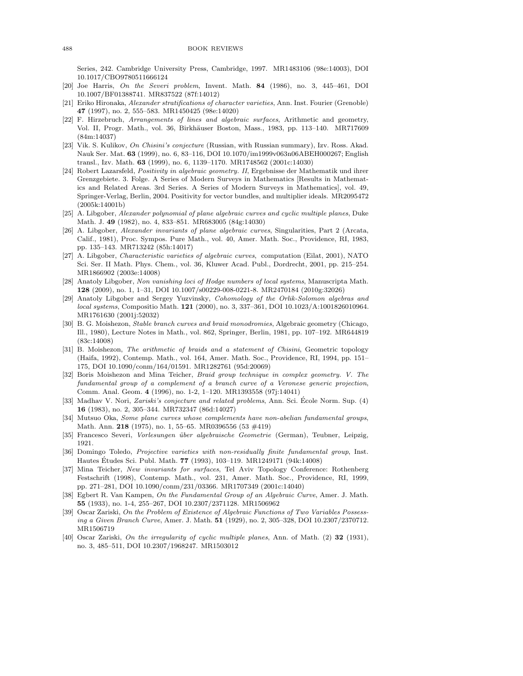Series, 242. Cambridge University Press, Cambridge, 1997. MR1483106 (98e:14003), DOI 10.1017/CBO9780511666124

- [20] Joe Harris, *On the Severi problem*, Invent. Math. 84 (1986), no. 3, 445–461, DOI 10.1007/BF01388741. MR837522 (87f:14012)
- [21] Eriko Hironaka, *Alexander stratifications of character varieties*, Ann. Inst. Fourier (Grenoble) 47 (1997), no. 2, 555–583. MR1450425 (98e:14020)
- [22] F. Hirzebruch, *Arrangements of lines and algebraic surfaces*, Arithmetic and geometry, Vol. II, Progr. Math., vol. 36, Birkhäuser Boston, Mass., 1983, pp. 113–140. MR717609 (84m:14037)
- [23] Vik. S. Kulikov, *On Chisini's conjecture* (Russian, with Russian summary), Izv. Ross. Akad. Nauk Ser. Mat. 63 (1999), no. 6, 83–116, DOI 10.1070/im1999v063n06ABEH000267; English transl., Izv. Math. 63 (1999), no. 6, 1139–1170. MR1748562 (2001c:14030)
- [24] Robert Lazarsfeld, *Positivity in algebraic geometry. II*, Ergebnisse der Mathematik und ihrer Grenzgebiete. 3. Folge. A Series of Modern Surveys in Mathematics [Results in Mathematics and Related Areas. 3rd Series. A Series of Modern Surveys in Mathematics], vol. 49, Springer-Verlag, Berlin, 2004. Positivity for vector bundles, and multiplier ideals. MR2095472 (2005k:14001b)
- [25] A. Libgober, *Alexander polynomial of plane algebraic curves and cyclic multiple planes*, Duke Math. J. 49 (1982), no. 4, 833–851. MR683005 (84g:14030)
- [26] A. Libgober, *Alexander invariants of plane algebraic curves*, Singularities, Part 2 (Arcata, Calif., 1981), Proc. Sympos. Pure Math., vol. 40, Amer. Math. Soc., Providence, RI, 1983, pp. 135–143. MR713242 (85h:14017)
- [27] A. Libgober, *Characteristic varieties of algebraic curves*, computation (Eilat, 2001), NATO Sci. Ser. II Math. Phys. Chem., vol. 36, Kluwer Acad. Publ., Dordrecht, 2001, pp. 215–254. MR1866902 (2003e:14008)
- [28] Anatoly Libgober, *Non vanishing loci of Hodge numbers of local systems*, Manuscripta Math. 128 (2009), no. 1, 1–31, DOI 10.1007/s00229-008-0221-8. MR2470184 (2010g:32026)
- [29] Anatoly Libgober and Sergey Yuzvinsky, *Cohomology of the Orlik-Solomon algebras and local systems*, Compositio Math. 121 (2000), no. 3, 337–361, DOI 10.1023/A:1001826010964. MR1761630 (2001j:52032)
- [30] B. G. Moishezon, *Stable branch curves and braid monodromies*, Algebraic geometry (Chicago, Ill., 1980), Lecture Notes in Math., vol. 862, Springer, Berlin, 1981, pp. 107–192. MR644819 (83c:14008)
- [31] B. Moishezon, *The arithmetic of braids and a statement of Chisini*, Geometric topology (Haifa, 1992), Contemp. Math., vol. 164, Amer. Math. Soc., Providence, RI, 1994, pp. 151– 175, DOI 10.1090/conm/164/01591. MR1282761 (95d:20069)
- [32] Boris Moishezon and Mina Teicher, *Braid group technique in complex geometry. V. The fundamental group of a complement of a branch curve of a Veronese generic projection*, Comm. Anal. Geom. 4 (1996), no. 1-2, 1–120. MR1393558 (97j:14041)
- [33] Madhav V. Nori, *Zariski's conjecture and related problems*, Ann. Sci. Ecole Norm. Sup. (4) ´ 16 (1983), no. 2, 305–344. MR732347 (86d:14027)
- [34] Mutsuo Oka, *Some plane curves whose complements have non-abelian fundamental groups*, Math. Ann. 218 (1975), no. 1, 55–65. MR0396556 (53 #419)
- [35] Francesco Severi, *Vorlesungen ¨uber algebraische Geometrie* (German), Teubner, Leipzig, 1921.
- [36] Domingo Toledo, *Projective varieties with non-residually finite fundamental group*, Inst. Hautes Etudes Sci. Publ. Math. 77 (1993), 103-119. MR1249171 (94k:14008)
- [37] Mina Teicher, *New invariants for surfaces*, Tel Aviv Topology Conference: Rothenberg Festschrift (1998), Contemp. Math., vol. 231, Amer. Math. Soc., Providence, RI, 1999, pp. 271–281, DOI 10.1090/conm/231/03366. MR1707349 (2001c:14040)
- [38] Egbert R. Van Kampen, *On the Fundamental Group of an Algebraic Curve*, Amer. J. Math. 55 (1933), no. 1-4, 255–267, DOI 10.2307/2371128. MR1506962
- [39] Oscar Zariski, On the Problem of Existence of Algebraic Functions of Two Variables Possess*ing a Given Branch Curve*, Amer. J. Math. 51 (1929), no. 2, 305–328, DOI 10.2307/2370712. MR1506719
- [40] Oscar Zariski, *On the irregularity of cyclic multiple planes*, Ann. of Math. (2) 32 (1931), no. 3, 485–511, DOI 10.2307/1968247. MR1503012